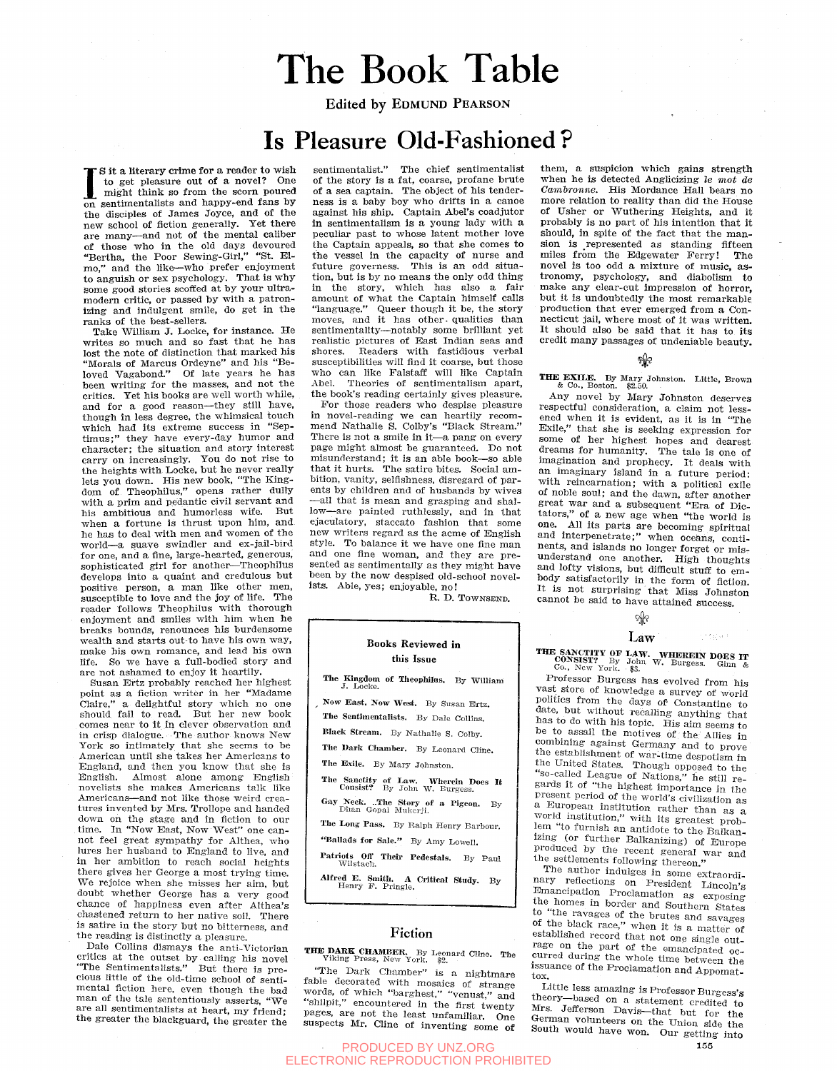# The Book Table

Edited by EDMUND PEARSON

# Is Pleasure Old-Fashioned ?

IS it a literary crime for a reader to wish<br>to get pleasure out of a novel? One<br>might think so from the scorn poured<br>on sentimentalists and happy-end fans by s it a literary crime **for** a reader to wish to get pleasure out of a novel? One might think so from the scorn poured the disciples of James Joyce, and of the new school of fiction generally. Tet there are many—and not of the mental caliber of those who in the old days devoured "Bertha, the Poor Sewing-Girl," "St. Elmo," and the like—who prefer enjoyment to anguish or sex psychology. That is why some good stories scoffed at by your ultramodern critic, or passed by with a patronizing and indulgent smile, do get in the ranks of the best-sellers.

Take William J. Locke, for instance. He writes so much and so fast that he has lost the note of distinction that marked his "Morals of Marcus Ordeyne" and his "Beloved Vagabond." Of late years he has been writing for the masses, and not the critics. Yet his books are well worth while, and for a good reason—they still have, though in less degree, the whimsical touch which had its extreme success in "Septimus; " they have every-day humor and character; the situation and story interest carry on increasingly. Tou do not rise to the heights with Locke, but he never really lets you down. His new book, "The Kingdom of Theophilus," opens rather dully with a prim and pedantic civil servant and his ambitious and humorless wife. But when a fortune is thrust upon him, and he has to deal with men and women of the world—a suave swindler and ex-jail-bird for one, and a fine, large-hearted, generous, sophisticated girl for another—Theophilus develops into a quaint and credulous but positive person, a man like other men, susceptible to love and the joy of life. The reader follows Theophilus with thorough enjoyment and smiles with him when he breaks bounds, renounces his burdensome wealth and starts out-to have his own way, make his own romance, and lead his own life. So we have a full-bodied story and are not ashamed to enjoy it heartily.

Susan Brtz probably reached her highest point as a fiction writer in her "Madame Claire," a delightful story which no one should fail to read. But her new book comes near to it in clever observation and in crisp dialogue. The author knows New York so intimately that she seems to be American until she takes her Americans to England, and then you know that she is English. Almost alone among English novelists she makes Americans talk like Americans—and not like those weird creatures invented by Mrs. Trollope and handed down on the stage and in fiction to our time. In "Now East, Now "West" one cannot feel great sympathy for Althea, who lures her husband to England to live, and in her ambition to reach social heights there gives her George a most trying time. We rejoice when she misses her aim, but doubt whether George has a very good chance of happiness even after Althea's chastened return to her native soil. There is satire in the story but no bitterness, and the reading is distinctly a pleasure.

Dale Collins dismays the anti-Victorian critics at the outset by calling his novel "The Sentimentalists." But there is precious little of the old-time school of sentimental fiction here, even though the bad man of the tale sententiously asserts, "We are all sentimentalists at heart, my friend; the greater the blackguard, the greater the

sentimentalist." The chief sentimentalist of the story is a fat, coarse, profane brute of a sea captain. The object of his tenderness is a baby boy who drifts In a canoe against his ship. Captain Abel's coadjutor in sentimentalism is a young lady with a peculiar past to whose latent mother love the Captain appeals, so that she comes to the vessel in the capacity of nurse and future governess. This is an odd situation, but is by no means the only odd thing in the story, which has also a fair amount of what the Captain himself calls "language." Queer though it be, the story moves, and it has other qualities than sentimentality—notably some brilliant yet realistic pictures of East Indian seas and shores. Readers with fastidious verbal susceptibilities will find it coarse, but those who can like Palstaff will like Captain Abel. Theories of sentimentalism apart, the book's reading certainly gives pleasure.

For those readers who despise pleasure in novel-reading we can heartily recommend Nathalie S. Colby's "Black Stream." There is not a smile in it—a pang on every page might almost be guaranteed. Do not misunderstand; it is an able book—so able that it hurts. The satire bites. Social ambition, vanity, selfishness, disregard of parents by children and of husbands by wives •—all that is mean and grasping and shallow—are painted ruthlessly, and in that ejaculatory, staccato fashion that some new writers regard as the acme of English style. To balance it we have one fine man and one fine woman, and they are presented as sentimentally as they might have bented as sentimentally as they might have  $\frac{1}{10}$  ists. Able, yest, enjoyable, no.

R. D. TOWNSBND.

#### **Books Reviewed in this Issue**

### **The Kingdom of Theophilus.** By William J. Locke.

Now East, Now West. By Susan Ertz. The Sentimentalists. By Dale Collins.

Black Stream. By Nathalie S. Colby.

The Dark Chamber. By Leonard Cline.

The Exile. By Mary Johnston.

The Sanctity of Law. Wherein Does It Consist? By John W. Burgess.

Gay Neck. ..The Story of a Pigeon. By Dhan Gopal Mukerji. The Long Pass. By Ralph Henry Barbour.

"Ballads for Sale." By Amy Lowell.

Patriots Off Their Pedestals. By Paul Wilstach.

Alfred E. Smith. A Critical Study. By Henry F. Pringle.

#### Fiction

**THE DARK CHAMBER.** By Leonard Cline. The Viking Press, New York. \$2.

"The Dark Chamber" is a nightmare fable decorated with mosaics of strange words, of which "barghest," "venust," and "shilpit," encountered in the first twenty pages, are not the least unfamiliar. One suspects Mr. Cline of inventing some of

PRODUCED BY UNZ.ORG **155** ELECTRONIC REPRODUCTION PROHIBITED

them, a suspicion which gains strength when he is detected Anglicizing *le mot de Camhronne.* His Mordance Hall bears no more relation to reality than did the House of Usher or Wuthering Heights, and it probably is no part of his intention that it should, in spite of the fact that the mansion is represented as standing fifteen miles from the Edgewater Ferry! The novel is too odd a mixture of music, astronomy, psychology, and diabolism to make any clear-cut impression of horror but it is undoubtedly the most remarkable production that ever emerged from a Connecticut jail, where most of it was written. It should also be said that it has to its credit many passages of undeniable beauty.

#### જીતિ

**THE EXILE.** By Mary Johnston. Little, Brown & Co., Boston. \$2.50.

Any novel by Mary Johnston deserves respectful consideration, a claim not lessened when it is evident, as it is in "The Exile," that she is seeking expression for some of her highest hopes and dearest dreams for humanity. The tale is one of imagination and prophecy. It deals with an imaginary island in a future period: with reincarnation; with a political exile of noble soul; and the dawn, after another great war and a subsequent "Era of Dictators," of a new age when "the world is one. All its parts are becoming spiritual and interpenetrate;" when oceans, continents, and islands no longer forget or misunderstand one another. High thoughts and lofty visions, but diflieult stuff to embody satisfactorily in the form of fiction. It is not surprising that Miss Johnston cannot be said to have attained success.

ବ୍ୟୁନ

### Law

nde grupp

**THE SANCTITY OF LAW. WHEREIN DOES IT CONSIST?** By John W. Burgess. Ginn & Co., New York. \$3.

Professor Burgess has evolved from his vast store of knowledge a survey of world politics from the days of Constantine to date, but without recalling anything that has to do with his topic. His aim seems to be to assail the motives of the Allies in combining against Germany and to prove the establishment of war-time despotism in the United States. Though opposed to the "so-called League of Nations," he still regards it of "the highest importance in the present period of the world's civilization as a European institution rather than as a world institution," with its greatest problem "to furnish an antidote to the Balkanizing (or further Balkanizing) of Europe produced by the recent general war and the settlements following thereon."

The author indulges in some extraordinary reflections on President Lincoln's Emancipation Proclamation as exposing the homes in border and Southern States to "the ravages of the brutes and savages of the black race," when it is a matter of established record that not one single outrage on the part of the emancipated occurred during' the whole time between the issuance of the Proclamation and Appomattox.

Little less amazing is Professor Burgess's theory—based on a statement credited to Mrs. Jefferson Davis—that but for the German volunteers on the Union side the South would have won. Our getting into